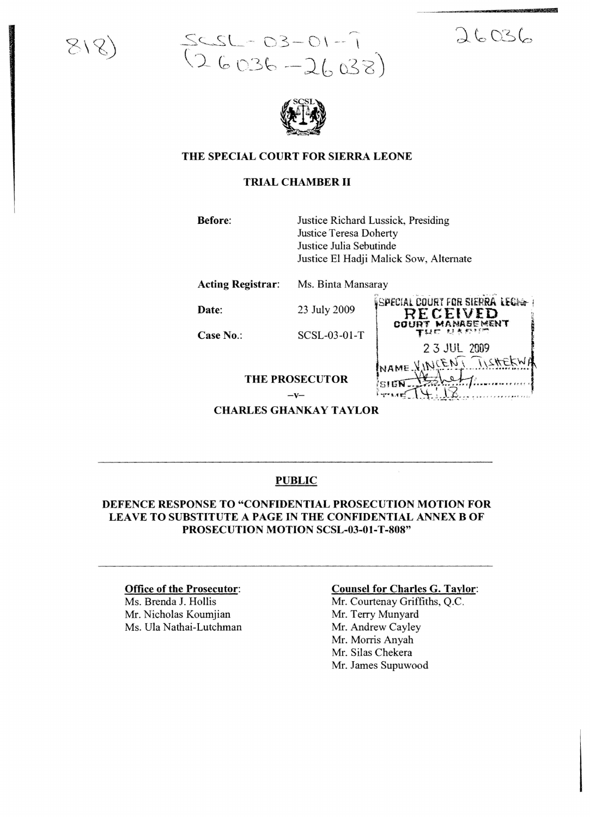

# $SCSL - 03 - 01 - 7$ <br>(26036-26038)

# $26036$

wT



# THE SPECIAL COURT FOR SIERRA LEONE

# TRIAL CHAMBER II

Before: Justice Richard Lussick, Presiding Justice Teresa Doherty Justice Julia Sebutinde Justice £1 Hadji Malick Sow, Alternate

Acting Registrar: Ms. Binta Mansaray

23 July 2009

Date:

SCSL-03-01-T

Case No.:

SPECIAL COURT FOR SIERRA LECHA RECEIVED<br>JURT MANASEMENT 2 3 JUL 2009 NCEN I ISHE

 $-\mathbf{V}$ **CHARLES GHANKAY TAYLOR** 

**THE PROSECUTOR** 

# PUBLIC

## DEFENCE RESPONSE TO "CONFIDENTIAL PROSECUTION MOTION FOR LEAVE TO SUBSTITUTE A PAGE IN THE CONFIDENTIAL ANNEX B OF PROSECUTION MOTION SCSL-03-01-T-808"

#### Office of the Prosecutor:

Ms. Brenda J. Hollis Mr. Nicholas Koumjian Ms. Ula Nathai-Lutchman

#### Counsel for Charles G. Taylor:

Mr. Courtenay Griffiths, Q.c. Mr. Terry Munyard Mr. Andrew Cayley Mr. Morris Anyah Mr. Silas Chekera Mr. James Supuwood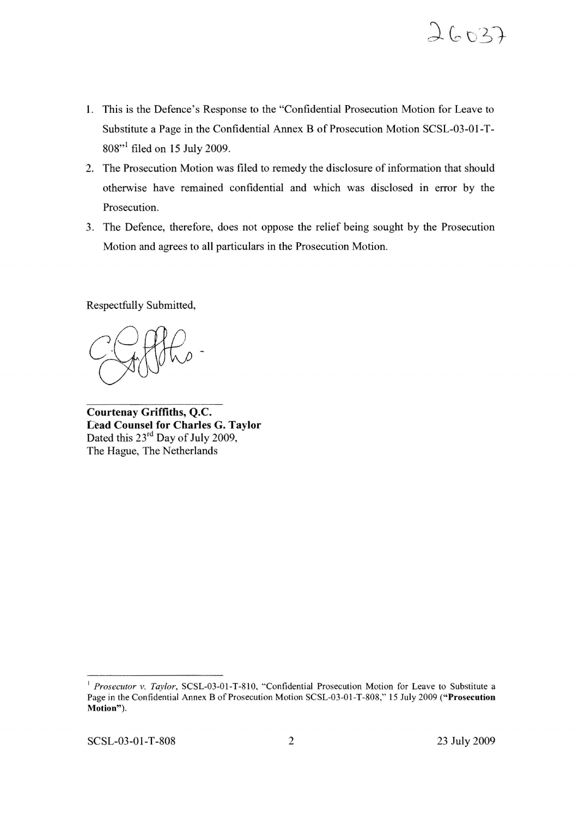

- 1. This is the Defence's Response to the "Confidential Prosecution Motion for Leave to Substitute a Page in the Confidential Annex B of Prosecution Motion SCSL-03-01-T-808"<sup>1</sup> filed on 15 July 2009.
- 2. The Prosecution Motion was filed to remedy the disclosure of information that should otherwise have remained confidential and which was disclosed in error by the Prosecution.
- 3. The Defence, therefore, does not oppose the relief being sought by the Prosecution Motion and agrees to all particulars in the Prosecution Motion.

Respectfully Submitted,

**Courtenay Griffiths,** Q.C. Lead **Counsel for Charles G. Taylor** Dated this  $23^{\text{rd}}$  Day of July 2009, The Hague, The Netherlands

<sup>I</sup> *Prosecutor v. Taylor,* SCSL-03-0I-T-8IO, "Confidential Prosecution Motion for Leave to Substitute a Page in the Confidential Annex B of Prosecution Motion SCSL-03-0I-T-808," 15 July 2009 ("Prosecution Motion").